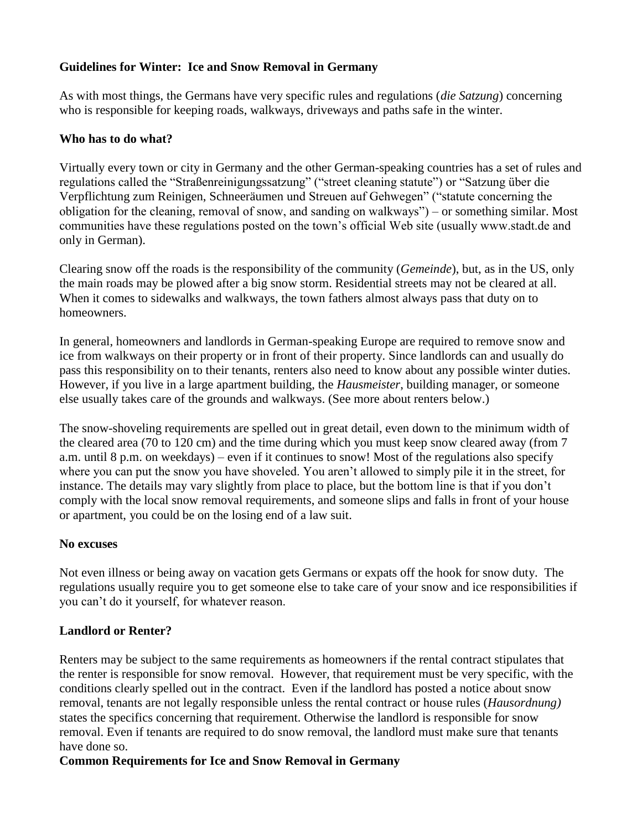# **Guidelines for Winter: Ice and Snow Removal in Germany**

As with most things, the Germans have very specific rules and regulations (*die Satzung*) concerning who is responsible for keeping roads, walkways, driveways and paths safe in the winter.

### **Who has to do what?**

Virtually every town or city in Germany and the other German-speaking countries has a set of rules and regulations called the "Straßenreinigungssatzung" ("street cleaning statute") or "Satzung über die Verpflichtung zum Reinigen, Schneeräumen und Streuen auf Gehwegen" ("statute concerning the obligation for the cleaning, removal of snow, and sanding on walkways") – or something similar. Most communities have these regulations posted on the town's official Web site (usually www.stadt.de and only in German).

Clearing snow off the roads is the responsibility of the community (*Gemeinde*), but, as in the US, only the main roads may be plowed after a big snow storm. Residential streets may not be cleared at all. When it comes to sidewalks and walkways, the town fathers almost always pass that duty on to homeowners.

In general, homeowners and landlords in German-speaking Europe are required to remove snow and ice from walkways on their property or in front of their property. Since landlords can and usually do pass this responsibility on to their tenants, renters also need to know about any possible winter duties. However, if you live in a large apartment building, the *Hausmeister*, building manager, or someone else usually takes care of the grounds and walkways. (See more about renters below.)

The snow-shoveling requirements are spelled out in great detail, even down to the minimum width of the cleared area (70 to 120 cm) and the time during which you must keep snow cleared away (from 7 a.m. until 8 p.m. on weekdays) – even if it continues to snow! Most of the regulations also specify where you can put the snow you have shoveled. You aren't allowed to simply pile it in the street, for instance. The details may vary slightly from place to place, but the bottom line is that if you don't comply with the local snow removal requirements, and someone slips and falls in front of your house or apartment, you could be on the losing end of a law suit.

# **No excuses**

Not even illness or being away on vacation gets Germans or expats off the hook for snow duty. The regulations usually require you to get someone else to take care of your snow and ice responsibilities if you can't do it yourself, for whatever reason.

# **Landlord or Renter?**

Renters may be subject to the same requirements as homeowners if the rental contract stipulates that the renter is responsible for snow removal. However, that requirement must be very specific, with the conditions clearly spelled out in the contract. Even if the landlord has posted a notice about snow removal, tenants are not legally responsible unless the rental contract or house rules (*Hausordnung)* states the specifics concerning that requirement. Otherwise the landlord is responsible for snow removal. Even if tenants are required to do snow removal, the landlord must make sure that tenants have done so.

# **Common Requirements for Ice and Snow Removal in Germany**